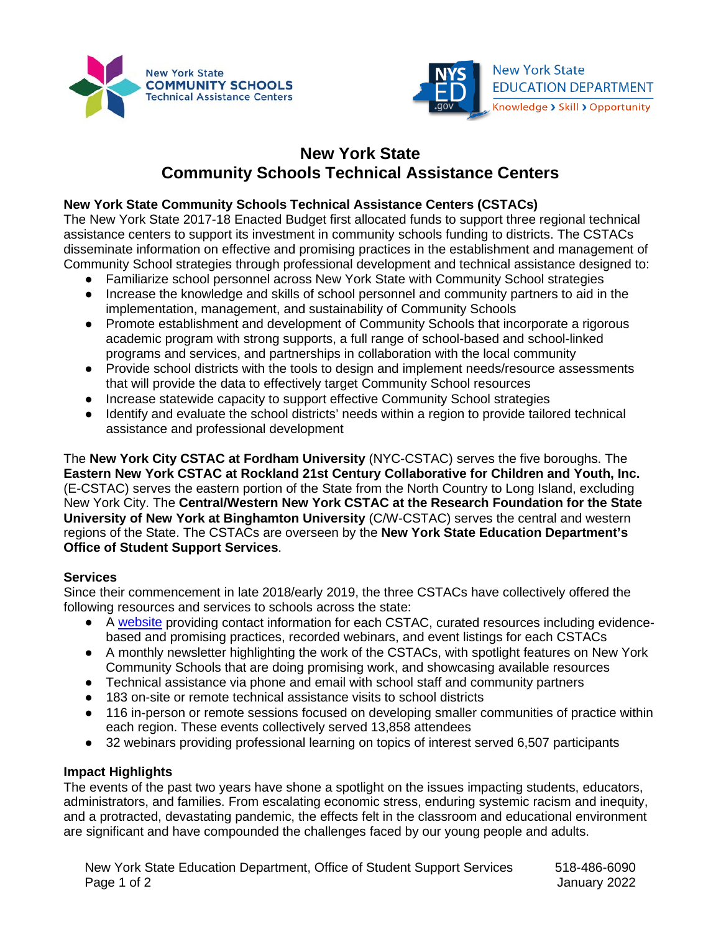



# **New York State Community Schools Technical Assistance Centers**

## **New York State Community Schools Technical Assistance Centers (CSTACs)**

The New York State 2017-18 Enacted Budget first allocated funds to support three regional technical assistance centers to support its investment in community schools funding to districts. The CSTACs disseminate information on effective and promising practices in the establishment and management of Community School strategies through professional development and technical assistance designed to:

- Familiarize school personnel across New York State with Community School strategies
- Increase the knowledge and skills of school personnel and community partners to aid in the implementation, management, and sustainability of Community Schools
- Promote establishment and development of Community Schools that incorporate a rigorous academic program with strong supports, a full range of school-based and school-linked programs and services, and partnerships in collaboration with the local community
- Provide school districts with the tools to design and implement needs/resource assessments that will provide the data to effectively target Community School resources
- Increase statewide capacity to support effective Community School strategies
- Identify and evaluate the school districts' needs within a region to provide tailored technical assistance and professional development

The **New York City CSTAC at Fordham University** (NYC-CSTAC) serves the five boroughs. The **Eastern New York CSTAC at Rockland 21st Century Collaborative for Children and Youth, Inc.** (E-CSTAC) serves the eastern portion of the State from the North Country to Long Island, excluding New York City. The **Central/Western New York CSTAC at the Research Foundation for the State University of New York at Binghamton University** (C/W-CSTAC) serves the central and western regions of the State. The CSTACs are overseen by the **New York State Education Department's Office of Student Support Services**.

### **Services**

 Since their commencement in late 2018/early 2019, the three CSTACs have collectively offered the following resources and services to schools across the state:

- A [website](https://www.nyscommunityschools.org/) providing contact information for each CSTAC, curated resources including evidencebased and promising practices, recorded webinars, and event listings for each CSTACs
- ● A monthly newsletter highlighting the work of the CSTACs, with spotlight features on New York Community Schools that are doing promising work, and showcasing available resources
- Technical assistance via phone and email with school staff and community partners
- 183 on-site or remote technical assistance visits to school districts
- 116 in-person or remote sessions focused on developing smaller communities of practice within each region. These events collectively served 13,858 attendees
- 32 webinars providing professional learning on topics of interest served 6,507 participants

### **Impact Highlights**

 The events of the past two years have shone a spotlight on the issues impacting students, educators, and a protracted, devastating pandemic, the effects felt in the classroom and educational environment administrators, and families. From escalating economic stress, enduring systemic racism and inequity, are significant and have compounded the challenges faced by our young people and adults.